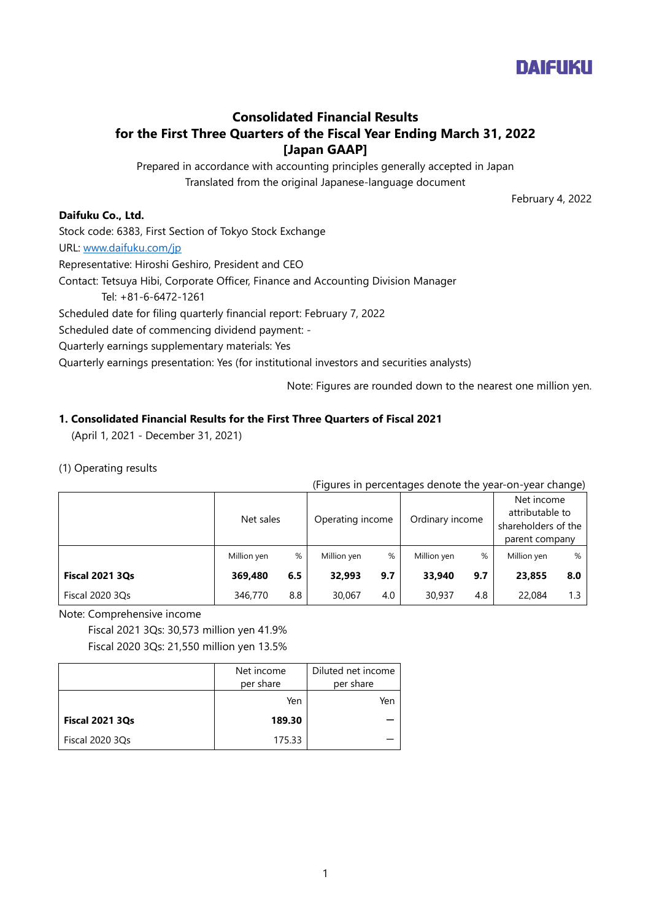

# **Consolidated Financial Results for the First Three Quarters of the Fiscal Year Ending March 31, 2022 [Japan GAAP]**

Prepared in accordance with accounting principles generally accepted in Japan Translated from the original Japanese-language document

February 4, 2022

## **Daifuku Co., Ltd.**

Stock code: 6383, First Section of Tokyo Stock Exchange

URL: [www.daifuku.com/jp](http://www.daifuku.com/jp)

Representative: Hiroshi Geshiro, President and CEO

Contact: Tetsuya Hibi, Corporate Officer, Finance and Accounting Division Manager

Tel: +81-6-6472-1261

Scheduled date for filing quarterly financial report: February 7, 2022

Scheduled date of commencing dividend payment: -

Quarterly earnings supplementary materials: Yes

Quarterly earnings presentation: Yes (for institutional investors and securities analysts)

Note: Figures are rounded down to the nearest one million yen.

# **1. Consolidated Financial Results for the First Three Quarters of Fiscal 2021**

(April 1, 2021 - December 31, 2021)

# (1) Operating results

(Figures in percentages denote the year-on-year change)

|                        | Net sales   |     | Operating income |     | Ordinary income |     | Net income<br>attributable to<br>shareholders of the<br>parent company |     |
|------------------------|-------------|-----|------------------|-----|-----------------|-----|------------------------------------------------------------------------|-----|
|                        | Million yen | %   | Million yen      | %   | Million yen     | %   | Million yen                                                            | %   |
| <b>Fiscal 2021 3Qs</b> | 369.480     | 6.5 | 32,993           | 9.7 | 33,940          | 9.7 | 23,855                                                                 | 8.0 |
| Fiscal 2020 3Qs        | 346,770     | 8.8 | 30,067           | 4.0 | 30,937          | 4.8 | 22,084                                                                 | 1.3 |

Note: Comprehensive income

Fiscal 2021 3Qs: 30,573 million yen 41.9% Fiscal 2020 3Qs: 21,550 million yen 13.5%

|                        | Net income | Diluted net income |
|------------------------|------------|--------------------|
|                        | per share  | per share          |
|                        | Yen        | Yen                |
| <b>Fiscal 2021 3Qs</b> | 189.30     |                    |
| Fiscal 2020 3Qs        | 175.33     |                    |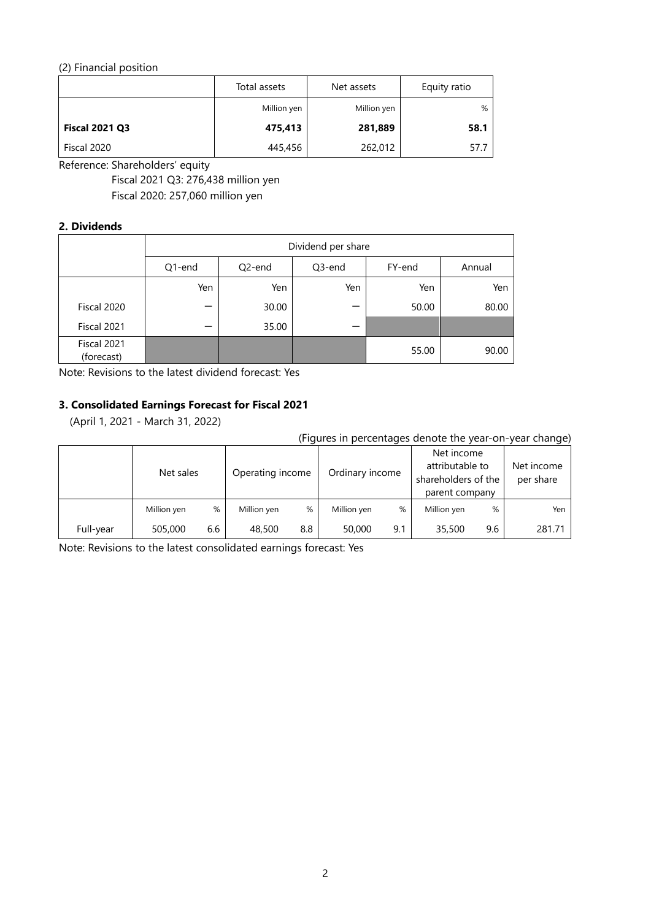# (2) Financial position

|                       | Total assets | Net assets  | Equity ratio |
|-----------------------|--------------|-------------|--------------|
|                       | Million yen  | Million yen | %            |
| <b>Fiscal 2021 Q3</b> | 475,413      | 281,889     | 58.1         |
| Fiscal 2020           | 445,456      | 262,012     | 57.7         |

Reference: Shareholders' equity

Fiscal 2021 Q3: 276,438 million yen

Fiscal 2020: 257,060 million yen

# **2. Dividends**

|                           |        |        | Dividend per share |        |        |
|---------------------------|--------|--------|--------------------|--------|--------|
|                           | Q1-end | Q2-end | Q3-end             | FY-end | Annual |
|                           | Yen    | Yen    | Yen                | Yen    | Yen    |
| Fiscal 2020               |        | 30.00  |                    | 50.00  | 80.00  |
| Fiscal 2021               |        | 35.00  |                    |        |        |
| Fiscal 2021<br>(forecast) |        |        |                    | 55.00  | 90.00  |

Note: Revisions to the latest dividend forecast: Yes

# **3. Consolidated Earnings Forecast for Fiscal 2021**

(April 1, 2021 - March 31, 2022)

(Figures in percentages denote the year-on-year change)

|           | Net sales   |     | Operating income |     | Ordinary income |     | Net income<br>attributable to<br>shareholders of the<br>parent company |     | Net income<br>per share |
|-----------|-------------|-----|------------------|-----|-----------------|-----|------------------------------------------------------------------------|-----|-------------------------|
|           | Million yen | %   | Million yen      | %   | Million yen     | %   | Million yen                                                            | %   | Yen                     |
| Full-year | 505,000     | 6.6 | 48,500           | 8.8 | 50,000          | 9.1 | 35,500                                                                 | 9.6 | 281.71                  |

Note: Revisions to the latest consolidated earnings forecast: Yes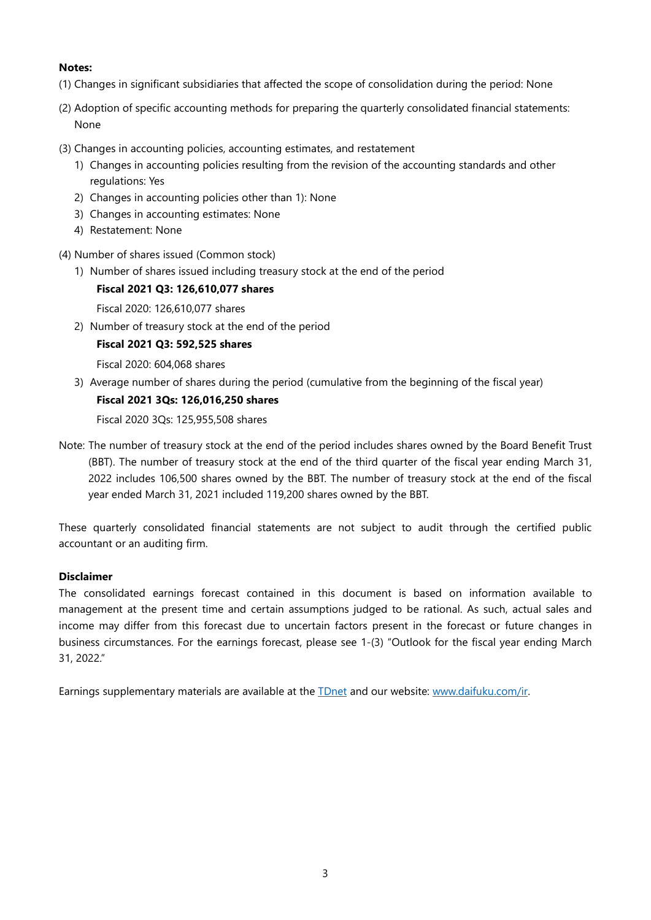# **Notes:**

- (1) Changes in significant subsidiaries that affected the scope of consolidation during the period: None
- (2) Adoption of specific accounting methods for preparing the quarterly consolidated financial statements: None
- (3) Changes in accounting policies, accounting estimates, and restatement
	- 1) Changes in accounting policies resulting from the revision of the accounting standards and other regulations: Yes
	- 2) Changes in accounting policies other than 1): None
	- 3) Changes in accounting estimates: None
	- 4) Restatement: None
- (4) Number of shares issued (Common stock)
	- 1) Number of shares issued including treasury stock at the end of the period

## **Fiscal 2021 Q3: 126,610,077 shares**

Fiscal 2020: 126,610,077 shares

2) Number of treasury stock at the end of the period

# **Fiscal 2021 Q3: 592,525 shares**

Fiscal 2020: 604,068 shares

3) Average number of shares during the period (cumulative from the beginning of the fiscal year)

# **Fiscal 2021 3Qs: 126,016,250 shares**

Fiscal 2020 3Qs: 125,955,508 shares

Note: The number of treasury stock at the end of the period includes shares owned by the Board Benefit Trust (BBT). The number of treasury stock at the end of the third quarter of the fiscal year ending March 31, 2022 includes 106,500 shares owned by the BBT. The number of treasury stock at the end of the fiscal year ended March 31, 2021 included 119,200 shares owned by the BBT.

These quarterly consolidated financial statements are not subject to audit through the certified public accountant or an auditing firm.

### **Disclaimer**

The consolidated earnings forecast contained in this document is based on information available to management at the present time and certain assumptions judged to be rational. As such, actual sales and income may differ from this forecast due to uncertain factors present in the forecast or future changes in business circumstances. For the earnings forecast, please see 1-(3) "Outlook for the fiscal year ending March 31, 2022."

Earnings supplementary materials are available at the **TDnet** and our website: [www.daifuku.com/ir.](https://www.daifuku.com/ir)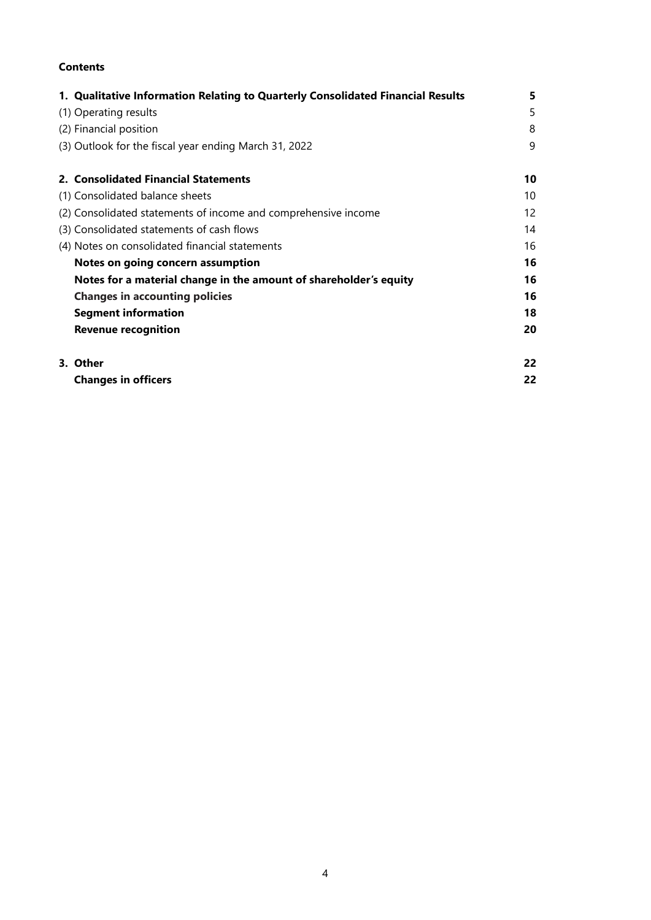# **Contents**

| 1. Qualitative Information Relating to Quarterly Consolidated Financial Results | 5  |
|---------------------------------------------------------------------------------|----|
| (1) Operating results                                                           | 5  |
| (2) Financial position                                                          | 8  |
| (3) Outlook for the fiscal year ending March 31, 2022                           | 9  |
| 2. Consolidated Financial Statements                                            | 10 |
| (1) Consolidated balance sheets                                                 | 10 |
| (2) Consolidated statements of income and comprehensive income                  | 12 |
| (3) Consolidated statements of cash flows                                       | 14 |
| (4) Notes on consolidated financial statements                                  | 16 |
| Notes on going concern assumption                                               | 16 |
| Notes for a material change in the amount of shareholder's equity               | 16 |
| <b>Changes in accounting policies</b>                                           | 16 |
| <b>Segment information</b>                                                      | 18 |
| <b>Revenue recognition</b>                                                      | 20 |
| 3. Other                                                                        | 22 |
| <b>Changes in officers</b>                                                      | 22 |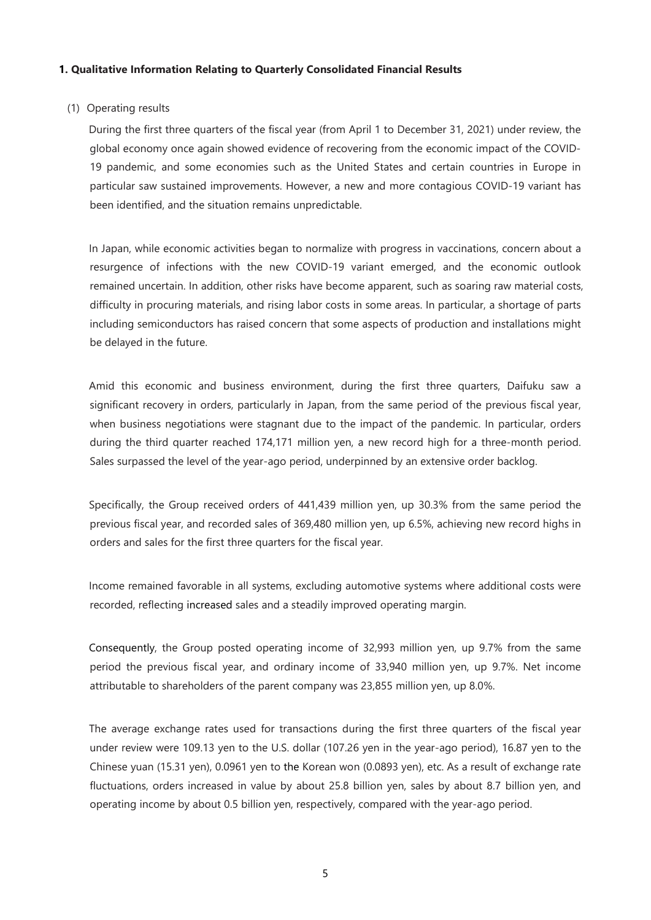### **1. Qualitative Information Relating to Quarterly Consolidated Financial Results**

### (1) Operating results

During the first three quarters of the fiscal year (from April 1 to December 31, 2021) under review, the global economy once again showed evidence of recovering from the economic impact of the COVID-19 pandemic, and some economies such as the United States and certain countries in Europe in particular saw sustained improvements. However, a new and more contagious COVID-19 variant has been identified, and the situation remains unpredictable.

In Japan, while economic activities began to normalize with progress in vaccinations, concern about a resurgence of infections with the new COVID-19 variant emerged, and the economic outlook remained uncertain. In addition, other risks have become apparent, such as soaring raw material costs, difficulty in procuring materials, and rising labor costs in some areas. In particular, a shortage of parts including semiconductors has raised concern that some aspects of production and installations might be delayed in the future.

Amid this economic and business environment, during the first three quarters, Daifuku saw a significant recovery in orders, particularly in Japan, from the same period of the previous fiscal year, when business negotiations were stagnant due to the impact of the pandemic. In particular, orders during the third quarter reached 174,171 million yen, a new record high for a three-month period. Sales surpassed the level of the year-ago period, underpinned by an extensive order backlog.

Specifically, the Group received orders of 441,439 million yen, up 30.3% from the same period the previous fiscal year, and recorded sales of 369,480 million yen, up 6.5%, achieving new record highs in orders and sales for the first three quarters for the fiscal year.

Income remained favorable in all systems, excluding automotive systems where additional costs were recorded, reflecting increased sales and a steadily improved operating margin.

Consequently, the Group posted operating income of 32,993 million yen, up 9.7% from the same period the previous fiscal year, and ordinary income of 33,940 million yen, up 9.7%. Net income attributable to shareholders of the parent company was 23,855 million yen, up 8.0%.

The average exchange rates used for transactions during the first three quarters of the fiscal year under review were 109.13 yen to the U.S. dollar (107.26 yen in the year-ago period), 16.87 yen to the Chinese yuan (15.31 yen), 0.0961 yen to the Korean won (0.0893 yen), etc. As a result of exchange rate fluctuations, orders increased in value by about 25.8 billion yen, sales by about 8.7 billion yen, and operating income by about 0.5 billion yen, respectively, compared with the year-ago period.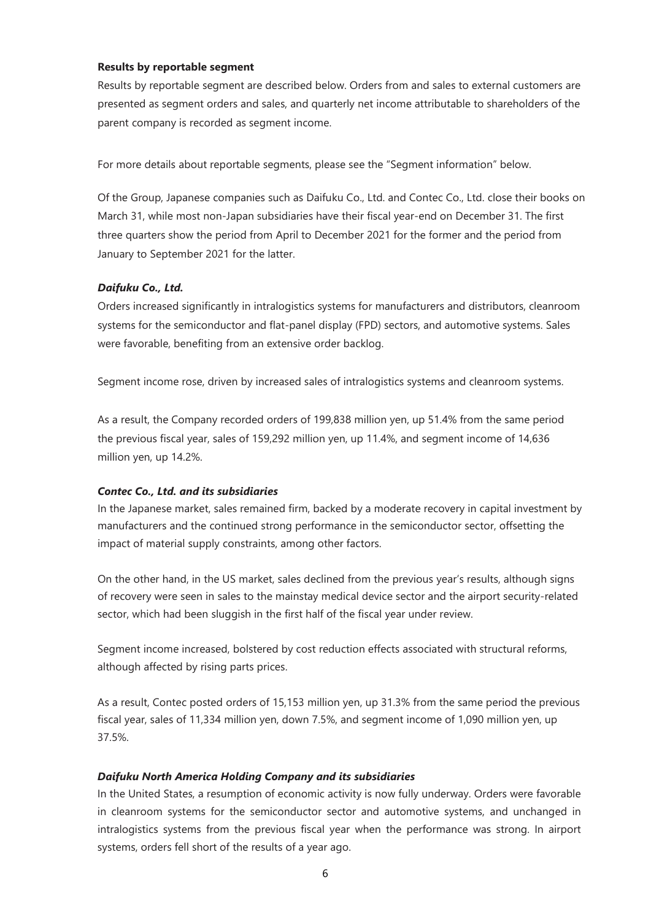#### **Results by reportable segment**

Results by reportable segment are described below. Orders from and sales to external customers are presented as segment orders and sales, and quarterly net income attributable to shareholders of the parent company is recorded as segment income.

For more details about reportable segments, please see the "Segment information" below.

Of the Group, Japanese companies such as Daifuku Co., Ltd. and Contec Co., Ltd. close their books on March 31, while most non-Japan subsidiaries have their fiscal year-end on December 31. The first three quarters show the period from April to December 2021 for the former and the period from January to September 2021 for the latter.

#### *Daifuku Co., Ltd.*

Orders increased significantly in intralogistics systems for manufacturers and distributors, cleanroom systems for the semiconductor and flat-panel display (FPD) sectors, and automotive systems. Sales were favorable, benefiting from an extensive order backlog.

Segment income rose, driven by increased sales of intralogistics systems and cleanroom systems.

As a result, the Company recorded orders of 199,838 million yen, up 51.4% from the same period the previous fiscal year, sales of 159,292 million yen, up 11.4%, and segment income of 14,636 million yen, up 14.2%.

#### *Contec Co., Ltd. and its subsidiaries*

In the Japanese market, sales remained firm, backed by a moderate recovery in capital investment by manufacturers and the continued strong performance in the semiconductor sector, offsetting the impact of material supply constraints, among other factors.

On the other hand, in the US market, sales declined from the previous year's results, although signs of recovery were seen in sales to the mainstay medical device sector and the airport security-related sector, which had been sluggish in the first half of the fiscal year under review.

Segment income increased, bolstered by cost reduction effects associated with structural reforms, although affected by rising parts prices.

As a result, Contec posted orders of 15,153 million yen, up 31.3% from the same period the previous fiscal year, sales of 11,334 million yen, down 7.5%, and segment income of 1,090 million yen, up 37.5%.

#### *Daifuku North America Holding Company and its subsidiaries*

In the United States, a resumption of economic activity is now fully underway. Orders were favorable in cleanroom systems for the semiconductor sector and automotive systems, and unchanged in intralogistics systems from the previous fiscal year when the performance was strong. In airport systems, orders fell short of the results of a year ago.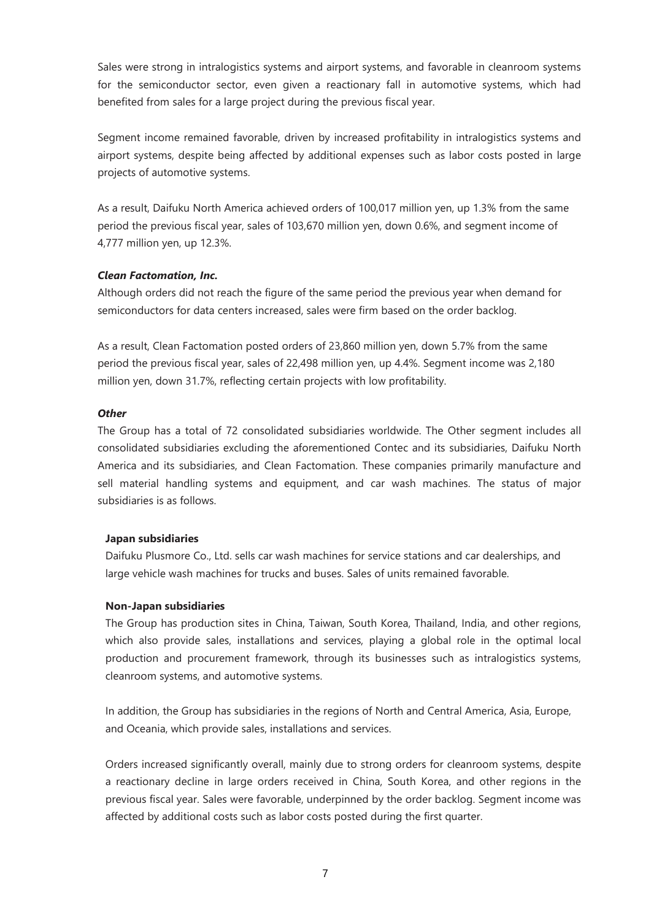Sales were strong in intralogistics systems and airport systems, and favorable in cleanroom systems for the semiconductor sector, even given a reactionary fall in automotive systems, which had benefited from sales for a large project during the previous fiscal year.

Segment income remained favorable, driven by increased profitability in intralogistics systems and airport systems, despite being affected by additional expenses such as labor costs posted in large projects of automotive systems.

As a result, Daifuku North America achieved orders of 100,017 million yen, up 1.3% from the same period the previous fiscal year, sales of 103,670 million yen, down 0.6%, and segment income of 4,777 million yen, up 12.3%.

#### *Clean Factomation, Inc.*

Although orders did not reach the figure of the same period the previous year when demand for semiconductors for data centers increased, sales were firm based on the order backlog.

As a result, Clean Factomation posted orders of 23,860 million yen, down 5.7% from the same period the previous fiscal year, sales of 22,498 million yen, up 4.4%. Segment income was 2,180 million yen, down 31.7%, reflecting certain projects with low profitability.

#### *Other*

The Group has a total of 72 consolidated subsidiaries worldwide. The Other segment includes all consolidated subsidiaries excluding the aforementioned Contec and its subsidiaries, Daifuku North America and its subsidiaries, and Clean Factomation. These companies primarily manufacture and sell material handling systems and equipment, and car wash machines. The status of major subsidiaries is as follows.

#### **Japan subsidiaries**

Daifuku Plusmore Co., Ltd. sells car wash machines for service stations and car dealerships, and large vehicle wash machines for trucks and buses. Sales of units remained favorable.

#### **Non-Japan subsidiaries**

The Group has production sites in China, Taiwan, South Korea, Thailand, India, and other regions, which also provide sales, installations and services, playing a global role in the optimal local production and procurement framework, through its businesses such as intralogistics systems, cleanroom systems, and automotive systems.

In addition, the Group has subsidiaries in the regions of North and Central America, Asia, Europe, and Oceania, which provide sales, installations and services.

Orders increased significantly overall, mainly due to strong orders for cleanroom systems, despite a reactionary decline in large orders received in China, South Korea, and other regions in the previous fiscal year. Sales were favorable, underpinned by the order backlog. Segment income was affected by additional costs such as labor costs posted during the first quarter.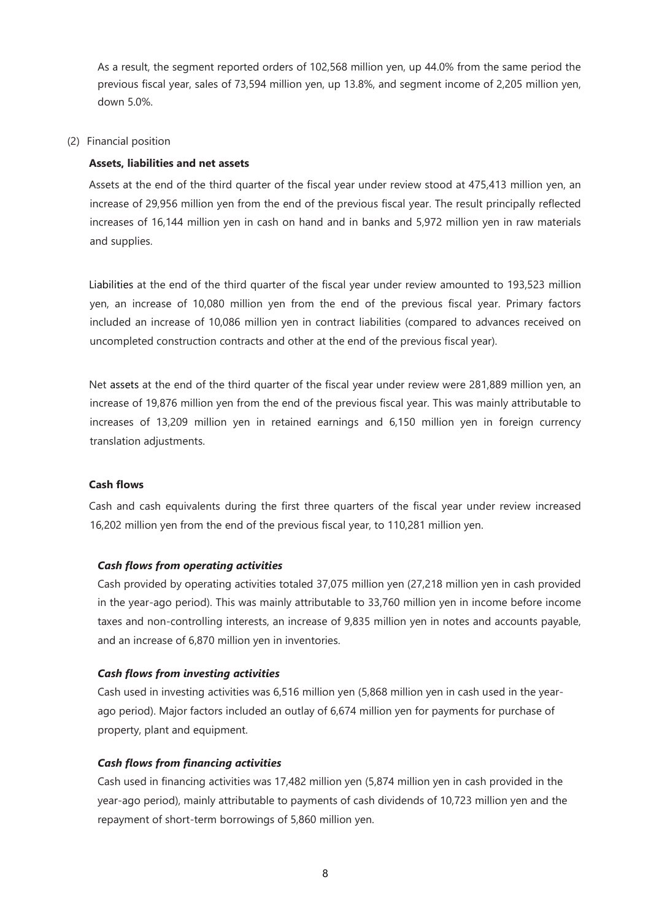As a result, the segment reported orders of 102,568 million yen, up 44.0% from the same period the previous fiscal year, sales of 73,594 million yen, up 13.8%, and segment income of 2,205 million yen, down 5.0%.

#### (2) Financial position

#### **Assets, liabilities and net assets**

Assets at the end of the third quarter of the fiscal year under review stood at 475,413 million yen, an increase of 29,956 million yen from the end of the previous fiscal year. The result principally reflected increases of 16,144 million yen in cash on hand and in banks and 5,972 million yen in raw materials and supplies.

Liabilities at the end of the third quarter of the fiscal year under review amounted to 193,523 million yen, an increase of 10,080 million yen from the end of the previous fiscal year. Primary factors included an increase of 10,086 million yen in contract liabilities (compared to advances received on uncompleted construction contracts and other at the end of the previous fiscal year).

Net assets at the end of the third quarter of the fiscal year under review were 281,889 million yen, an increase of 19,876 million yen from the end of the previous fiscal year. This was mainly attributable to increases of 13,209 million yen in retained earnings and 6,150 million yen in foreign currency translation adjustments.

### **Cash flows**

Cash and cash equivalents during the first three quarters of the fiscal year under review increased 16,202 million yen from the end of the previous fiscal year, to 110,281 million yen.

### *Cash flows from operating activities*

Cash provided by operating activities totaled 37,075 million yen (27,218 million yen in cash provided in the year-ago period). This was mainly attributable to 33,760 million yen in income before income taxes and non-controlling interests, an increase of 9,835 million yen in notes and accounts payable, and an increase of 6,870 million yen in inventories.

### *Cash flows from investing activities*

Cash used in investing activities was 6,516 million yen (5,868 million yen in cash used in the yearago period). Major factors included an outlay of 6,674 million yen for payments for purchase of property, plant and equipment.

### *Cash flows from financing activities*

Cash used in financing activities was 17,482 million yen (5,874 million yen in cash provided in the year-ago period), mainly attributable to payments of cash dividends of 10,723 million yen and the repayment of short-term borrowings of 5,860 million yen.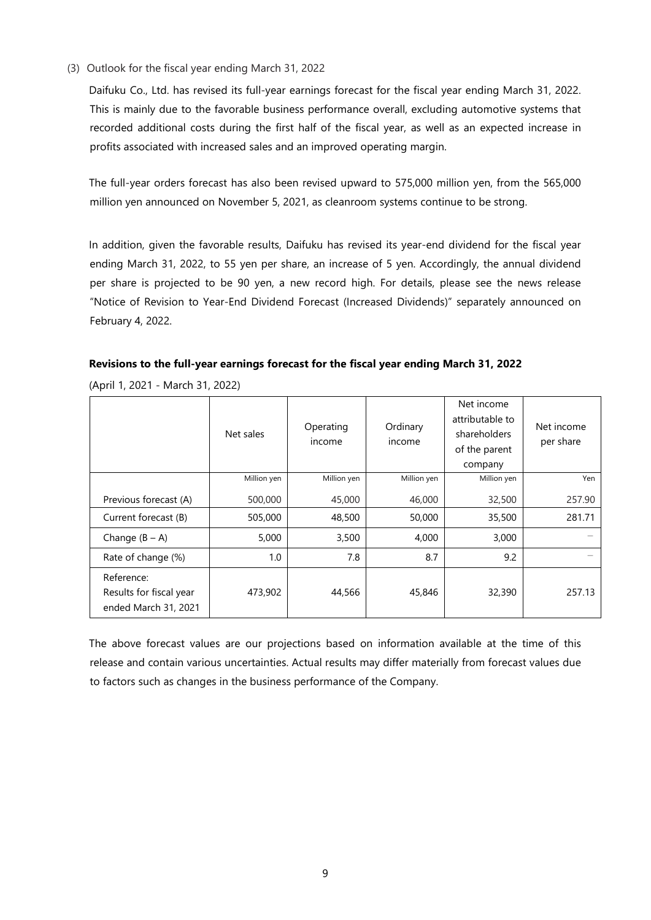(3) Outlook for the fiscal year ending March 31, 2022

Daifuku Co., Ltd. has revised its full-year earnings forecast for the fiscal year ending March 31, 2022. This is mainly due to the favorable business performance overall, excluding automotive systems that recorded additional costs during the first half of the fiscal year, as well as an expected increase in profits associated with increased sales and an improved operating margin.

The full-year orders forecast has also been revised upward to 575,000 million yen, from the 565,000 million yen announced on November 5, 2021, as cleanroom systems continue to be strong.

In addition, given the favorable results, Daifuku has revised its year-end dividend for the fiscal year ending March 31, 2022, to 55 yen per share, an increase of 5 yen. Accordingly, the annual dividend per share is projected to be 90 yen, a new record high. For details, please see the news release "Notice of Revision to Year-End Dividend Forecast (Increased Dividends)" separately announced on February 4, 2022.

**Revisions to the full-year earnings forecast for the fiscal year ending March 31, 2022**

|                                                               | Net sales   | Operating<br>income | Ordinary<br>income | Net income<br>attributable to<br>shareholders<br>of the parent<br>company | Net income<br>per share |
|---------------------------------------------------------------|-------------|---------------------|--------------------|---------------------------------------------------------------------------|-------------------------|
|                                                               | Million yen | Million yen         | Million yen        | Million yen                                                               | Yen                     |
| Previous forecast (A)                                         | 500,000     | 45,000              | 46,000             | 32,500                                                                    | 257.90                  |
| Current forecast (B)                                          | 505,000     | 48,500              | 50,000             | 35,500                                                                    | 281.71                  |
| Change $(B - A)$                                              | 5,000       | 3,500               | 4,000              | 3,000                                                                     |                         |
| Rate of change (%)                                            | 1.0         | 7.8                 | 8.7                | 9.2                                                                       |                         |
| Reference:<br>Results for fiscal year<br>ended March 31, 2021 | 473,902     | 44,566              | 45,846             | 32,390                                                                    | 257.13                  |

(April 1, 2021 - March 31, 2022)

The above forecast values are our projections based on information available at the time of this release and contain various uncertainties. Actual results may differ materially from forecast values due to factors such as changes in the business performance of the Company.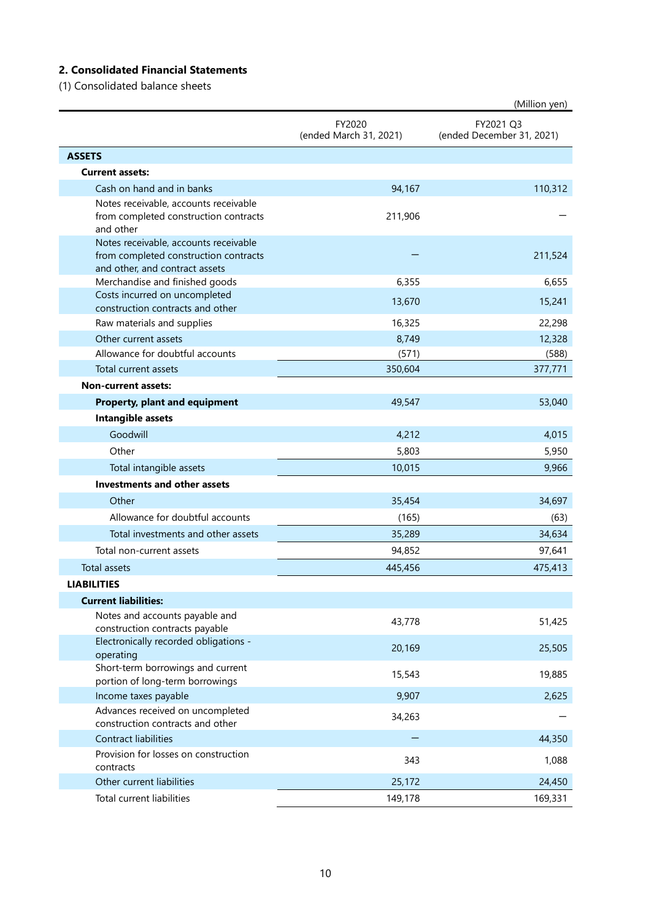# **2. Consolidated Financial Statements**

(1) Consolidated balance sheets

|                                                                         |                                  | (Million yen)                          |
|-------------------------------------------------------------------------|----------------------------------|----------------------------------------|
|                                                                         | FY2020<br>(ended March 31, 2021) | FY2021 Q3<br>(ended December 31, 2021) |
| <b>ASSETS</b>                                                           |                                  |                                        |
| <b>Current assets:</b>                                                  |                                  |                                        |
| Cash on hand and in banks                                               | 94,167                           | 110,312                                |
| Notes receivable, accounts receivable                                   |                                  |                                        |
| from completed construction contracts<br>and other                      | 211,906                          |                                        |
| Notes receivable, accounts receivable                                   |                                  |                                        |
| from completed construction contracts<br>and other, and contract assets |                                  | 211,524                                |
| Merchandise and finished goods                                          | 6,355                            | 6,655                                  |
| Costs incurred on uncompleted                                           | 13,670                           | 15,241                                 |
| construction contracts and other                                        |                                  |                                        |
| Raw materials and supplies                                              | 16,325                           | 22,298                                 |
| Other current assets                                                    | 8,749                            | 12,328                                 |
| Allowance for doubtful accounts                                         | (571)                            | (588)                                  |
| Total current assets                                                    | 350,604                          | 377,771                                |
| <b>Non-current assets:</b>                                              |                                  |                                        |
| Property, plant and equipment                                           | 49,547                           | 53,040                                 |
| Intangible assets                                                       |                                  |                                        |
| Goodwill                                                                | 4,212                            | 4,015                                  |
| Other                                                                   | 5,803                            | 5,950                                  |
| Total intangible assets                                                 | 10,015                           | 9,966                                  |
| <b>Investments and other assets</b>                                     |                                  |                                        |
| Other                                                                   | 35,454                           | 34,697                                 |
| Allowance for doubtful accounts                                         | (165)                            | (63)                                   |
| Total investments and other assets                                      | 35,289                           | 34,634                                 |
| Total non-current assets                                                | 94,852                           | 97,641                                 |
| Total assets                                                            | 445,456                          | 475,413                                |
| <b>LIABILITIES</b>                                                      |                                  |                                        |
| <b>Current liabilities:</b>                                             |                                  |                                        |
| Notes and accounts payable and                                          |                                  |                                        |
| construction contracts payable<br>Electronically recorded obligations - | 43,778                           | 51,425                                 |
| operating                                                               | 20,169                           | 25,505                                 |
| Short-term borrowings and current<br>portion of long-term borrowings    | 15,543                           | 19,885                                 |
| Income taxes payable                                                    | 9,907                            | 2,625                                  |
| Advances received on uncompleted<br>construction contracts and other    | 34,263                           |                                        |
| <b>Contract liabilities</b>                                             |                                  | 44,350                                 |
| Provision for losses on construction<br>contracts                       | 343                              | 1,088                                  |
| Other current liabilities                                               | 25,172                           | 24,450                                 |
| Total current liabilities                                               | 149,178                          | 169,331                                |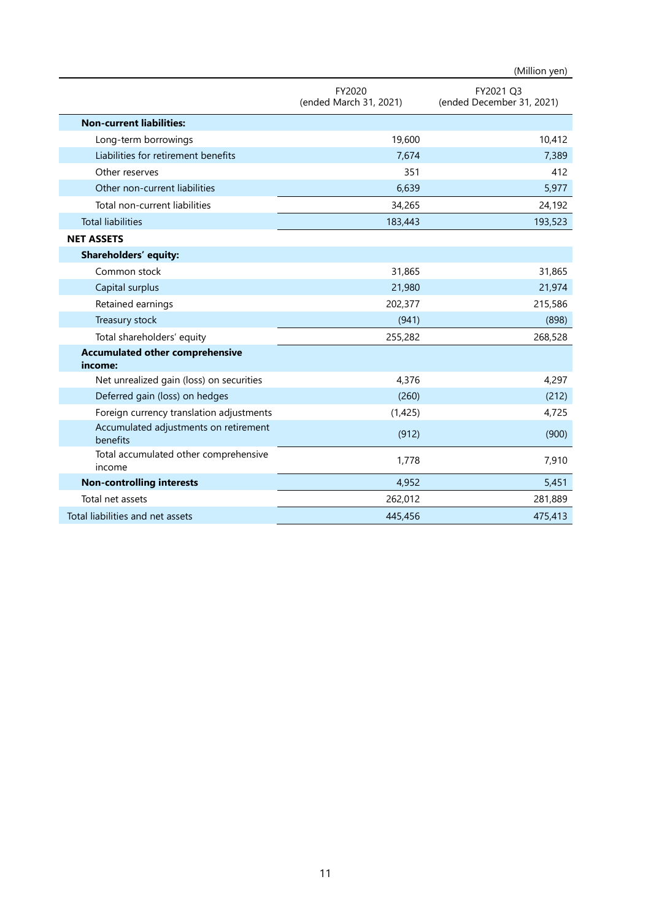|                                                   |                                  | (Million yen)                          |
|---------------------------------------------------|----------------------------------|----------------------------------------|
|                                                   | FY2020<br>(ended March 31, 2021) | FY2021 Q3<br>(ended December 31, 2021) |
| <b>Non-current liabilities:</b>                   |                                  |                                        |
| Long-term borrowings                              | 19,600                           | 10,412                                 |
| Liabilities for retirement benefits               | 7,674                            | 7,389                                  |
| Other reserves                                    | 351                              | 412                                    |
| Other non-current liabilities                     | 6,639                            | 5,977                                  |
| Total non-current liabilities                     | 34,265                           | 24,192                                 |
| <b>Total liabilities</b>                          | 183,443                          | 193,523                                |
| <b>NET ASSETS</b>                                 |                                  |                                        |
| Shareholders' equity:                             |                                  |                                        |
| Common stock                                      | 31,865                           | 31,865                                 |
| Capital surplus                                   | 21,980                           | 21,974                                 |
| Retained earnings                                 | 202,377                          | 215,586                                |
| Treasury stock                                    | (941)                            | (898)                                  |
| Total shareholders' equity                        | 255,282                          | 268,528                                |
| <b>Accumulated other comprehensive</b><br>income: |                                  |                                        |
| Net unrealized gain (loss) on securities          | 4,376                            | 4,297                                  |
| Deferred gain (loss) on hedges                    | (260)                            | (212)                                  |
| Foreign currency translation adjustments          | (1,425)                          | 4,725                                  |
| Accumulated adjustments on retirement<br>benefits | (912)                            | (900)                                  |
| Total accumulated other comprehensive<br>income   | 1,778                            | 7,910                                  |
| <b>Non-controlling interests</b>                  | 4,952                            | 5,451                                  |
| Total net assets                                  | 262,012                          | 281,889                                |
| Total liabilities and net assets                  | 445,456                          | 475,413                                |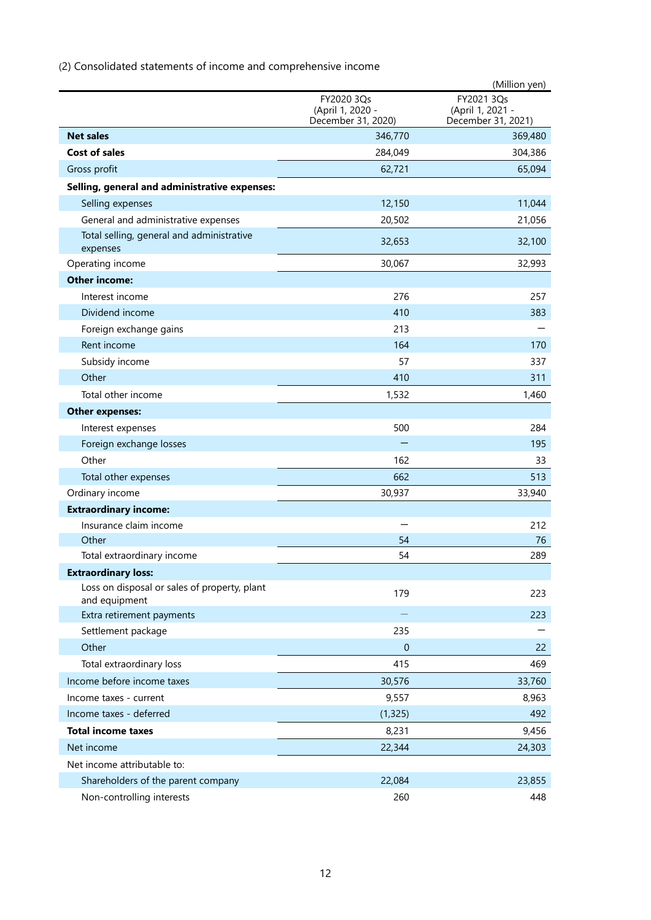(2) Consolidated statements of income and comprehensive income

|                                                               |                                                      | (Million yen)                                        |
|---------------------------------------------------------------|------------------------------------------------------|------------------------------------------------------|
|                                                               | FY2020 3Qs<br>(April 1, 2020 -<br>December 31, 2020) | FY2021 3Qs<br>(April 1, 2021 -<br>December 31, 2021) |
| <b>Net sales</b>                                              | 346,770                                              | 369,480                                              |
| <b>Cost of sales</b>                                          | 284,049                                              | 304,386                                              |
| Gross profit                                                  | 62,721                                               | 65,094                                               |
| Selling, general and administrative expenses:                 |                                                      |                                                      |
| Selling expenses                                              | 12,150                                               | 11,044                                               |
| General and administrative expenses                           | 20,502                                               | 21,056                                               |
| Total selling, general and administrative<br>expenses         | 32,653                                               | 32,100                                               |
| Operating income                                              | 30,067                                               | 32,993                                               |
| <b>Other income:</b>                                          |                                                      |                                                      |
| Interest income                                               | 276                                                  | 257                                                  |
| Dividend income                                               | 410                                                  | 383                                                  |
| Foreign exchange gains                                        | 213                                                  |                                                      |
| Rent income                                                   | 164                                                  | 170                                                  |
| Subsidy income                                                | 57                                                   | 337                                                  |
| Other                                                         | 410                                                  | 311                                                  |
| Total other income                                            | 1,532                                                | 1,460                                                |
| <b>Other expenses:</b>                                        |                                                      |                                                      |
| Interest expenses                                             | 500                                                  | 284                                                  |
| Foreign exchange losses                                       |                                                      | 195                                                  |
| Other                                                         | 162                                                  | 33                                                   |
| Total other expenses                                          | 662                                                  | 513                                                  |
| Ordinary income                                               | 30,937                                               | 33,940                                               |
| <b>Extraordinary income:</b>                                  |                                                      |                                                      |
| Insurance claim income                                        | -                                                    | 212                                                  |
| Other                                                         | 54                                                   | 76                                                   |
| Total extraordinary income                                    | 54                                                   | 289                                                  |
| <b>Extraordinary loss:</b>                                    |                                                      |                                                      |
| Loss on disposal or sales of property, plant<br>and equipment | 179                                                  | 223                                                  |
| Extra retirement payments                                     |                                                      | 223                                                  |
| Settlement package                                            | 235                                                  |                                                      |
| Other                                                         | $\theta$                                             | 22                                                   |
| Total extraordinary loss                                      | 415                                                  | 469                                                  |
| Income before income taxes                                    | 30,576                                               | 33,760                                               |
| Income taxes - current                                        | 9,557                                                | 8,963                                                |
| Income taxes - deferred                                       | (1, 325)                                             | 492                                                  |
| <b>Total income taxes</b>                                     | 8,231                                                | 9,456                                                |
| Net income                                                    | 22,344                                               | 24,303                                               |
| Net income attributable to:                                   |                                                      |                                                      |
| Shareholders of the parent company                            | 22,084                                               | 23,855                                               |
| Non-controlling interests                                     | 260                                                  | 448                                                  |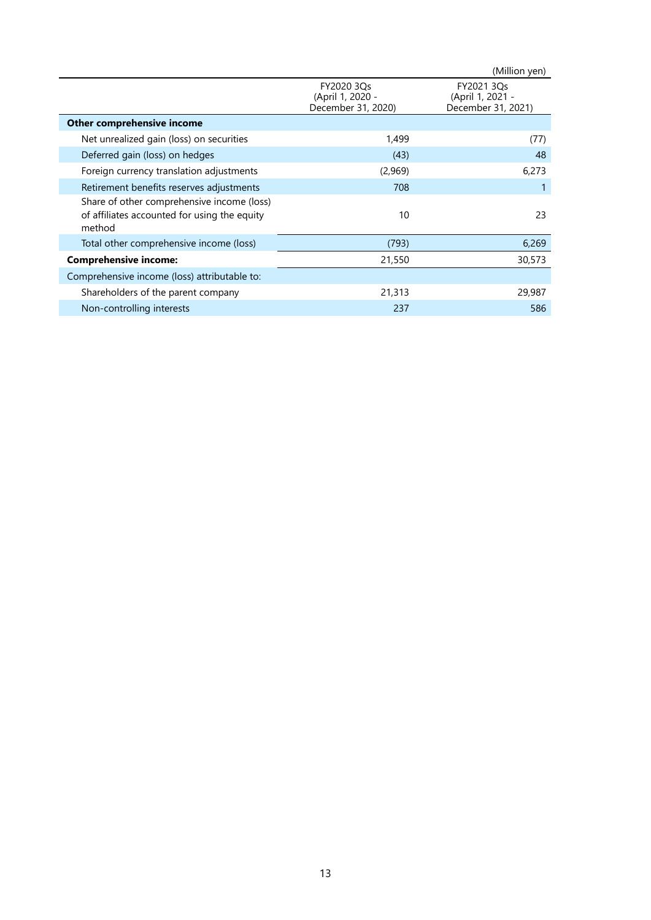|                                                                                                      |                                                      | (Million yen)                                        |
|------------------------------------------------------------------------------------------------------|------------------------------------------------------|------------------------------------------------------|
|                                                                                                      | FY2020 3Qs<br>(April 1, 2020 -<br>December 31, 2020) | FY2021 3Qs<br>(April 1, 2021 -<br>December 31, 2021) |
| Other comprehensive income                                                                           |                                                      |                                                      |
| Net unrealized gain (loss) on securities                                                             | 1,499                                                | (77)                                                 |
| Deferred gain (loss) on hedges                                                                       | (43)                                                 | 48                                                   |
| Foreign currency translation adjustments                                                             | (2,969)                                              | 6,273                                                |
| Retirement benefits reserves adjustments                                                             | 708                                                  |                                                      |
| Share of other comprehensive income (loss)<br>of affiliates accounted for using the equity<br>method | 10                                                   | 23                                                   |
| Total other comprehensive income (loss)                                                              | (793)                                                | 6,269                                                |
| <b>Comprehensive income:</b>                                                                         | 21,550                                               | 30,573                                               |
| Comprehensive income (loss) attributable to:                                                         |                                                      |                                                      |
| Shareholders of the parent company                                                                   | 21,313                                               | 29,987                                               |
| Non-controlling interests                                                                            | 237                                                  | 586                                                  |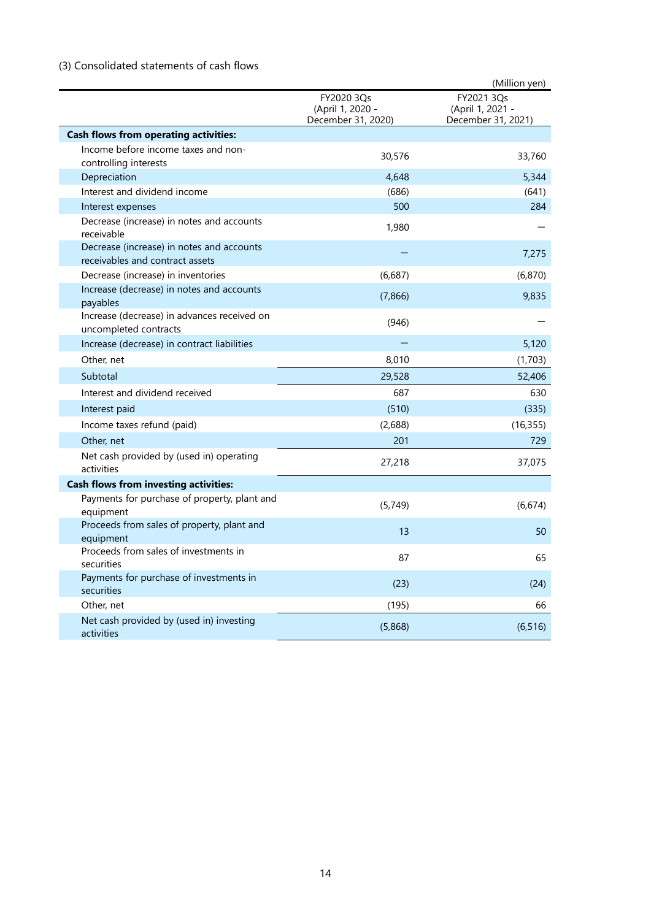# (3) Consolidated statements of cash flows

|                                                                              |                                                      | (Million yen)                                        |
|------------------------------------------------------------------------------|------------------------------------------------------|------------------------------------------------------|
|                                                                              | FY2020 3Qs<br>(April 1, 2020 -<br>December 31, 2020) | FY2021 3Qs<br>(April 1, 2021 -<br>December 31, 2021) |
| <b>Cash flows from operating activities:</b>                                 |                                                      |                                                      |
| Income before income taxes and non-<br>controlling interests                 | 30,576                                               | 33,760                                               |
| Depreciation                                                                 | 4,648                                                | 5,344                                                |
| Interest and dividend income                                                 | (686)                                                | (641)                                                |
| Interest expenses                                                            | 500                                                  | 284                                                  |
| Decrease (increase) in notes and accounts<br>receivable                      | 1,980                                                |                                                      |
| Decrease (increase) in notes and accounts<br>receivables and contract assets |                                                      | 7,275                                                |
| Decrease (increase) in inventories                                           | (6,687)                                              | (6,870)                                              |
| Increase (decrease) in notes and accounts<br>payables                        | (7,866)                                              | 9,835                                                |
| Increase (decrease) in advances received on<br>uncompleted contracts         | (946)                                                |                                                      |
| Increase (decrease) in contract liabilities                                  |                                                      | 5,120                                                |
| Other, net                                                                   | 8,010                                                | (1,703)                                              |
| Subtotal                                                                     | 29,528                                               | 52,406                                               |
| Interest and dividend received                                               | 687                                                  | 630                                                  |
| Interest paid                                                                | (510)                                                | (335)                                                |
| Income taxes refund (paid)                                                   | (2,688)                                              | (16, 355)                                            |
| Other, net                                                                   | 201                                                  | 729                                                  |
| Net cash provided by (used in) operating<br>activities                       | 27,218                                               | 37,075                                               |
| <b>Cash flows from investing activities:</b>                                 |                                                      |                                                      |
| Payments for purchase of property, plant and<br>equipment                    | (5,749)                                              | (6,674)                                              |
| Proceeds from sales of property, plant and<br>equipment                      | 13                                                   | 50                                                   |
| Proceeds from sales of investments in<br>securities                          | 87                                                   | 65                                                   |
| Payments for purchase of investments in<br>securities                        | (23)                                                 | (24)                                                 |
| Other, net                                                                   | (195)                                                | 66                                                   |
| Net cash provided by (used in) investing<br>activities                       | (5,868)                                              | (6, 516)                                             |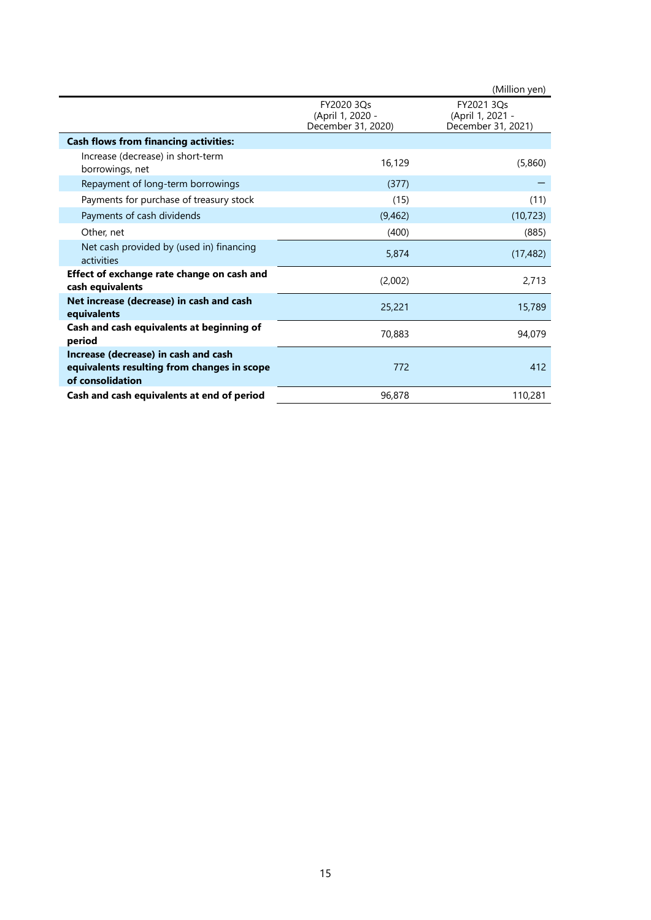|                                                                                                         |                                                      | (Million yen)                                        |
|---------------------------------------------------------------------------------------------------------|------------------------------------------------------|------------------------------------------------------|
|                                                                                                         | FY2020 3Qs<br>(April 1, 2020 -<br>December 31, 2020) | FY2021 3Qs<br>(April 1, 2021 -<br>December 31, 2021) |
| <b>Cash flows from financing activities:</b>                                                            |                                                      |                                                      |
| Increase (decrease) in short-term<br>borrowings, net                                                    | 16,129                                               | (5,860)                                              |
| Repayment of long-term borrowings                                                                       | (377)                                                |                                                      |
| Payments for purchase of treasury stock                                                                 | (15)                                                 | (11)                                                 |
| Payments of cash dividends                                                                              | (9,462)                                              | (10, 723)                                            |
| Other, net                                                                                              | (400)                                                | (885)                                                |
| Net cash provided by (used in) financing<br>activities                                                  | 5,874                                                | (17, 482)                                            |
| Effect of exchange rate change on cash and<br>cash equivalents                                          | (2,002)                                              | 2,713                                                |
| Net increase (decrease) in cash and cash<br>equivalents                                                 | 25,221                                               | 15,789                                               |
| Cash and cash equivalents at beginning of<br>period                                                     | 70,883                                               | 94,079                                               |
| Increase (decrease) in cash and cash<br>equivalents resulting from changes in scope<br>of consolidation | 772                                                  | 412                                                  |
| Cash and cash equivalents at end of period                                                              | 96,878                                               | 110,281                                              |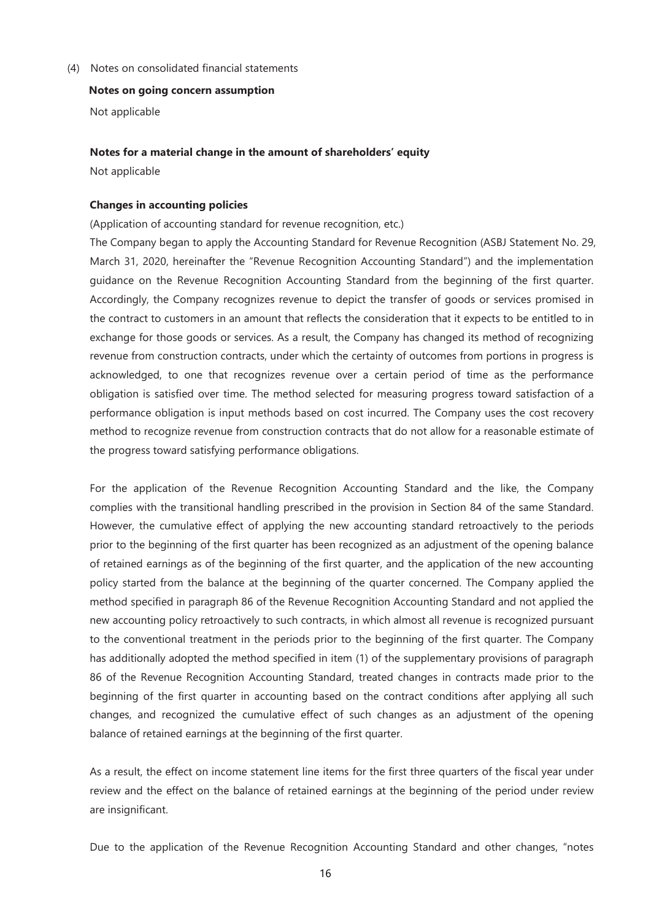(4) Notes on consolidated financial statements

#### **Notes on going concern assumption**

Not applicable

#### **Notes for a material change in the amount of shareholders' equity**

Not applicable

#### **Changes in accounting policies**

(Application of accounting standard for revenue recognition, etc.)

The Company began to apply the Accounting Standard for Revenue Recognition (ASBJ Statement No. 29, March 31, 2020, hereinafter the "Revenue Recognition Accounting Standard") and the implementation guidance on the Revenue Recognition Accounting Standard from the beginning of the first quarter. Accordingly, the Company recognizes revenue to depict the transfer of goods or services promised in the contract to customers in an amount that reflects the consideration that it expects to be entitled to in exchange for those goods or services. As a result, the Company has changed its method of recognizing revenue from construction contracts, under which the certainty of outcomes from portions in progress is acknowledged, to one that recognizes revenue over a certain period of time as the performance obligation is satisfied over time. The method selected for measuring progress toward satisfaction of a performance obligation is input methods based on cost incurred. The Company uses the cost recovery method to recognize revenue from construction contracts that do not allow for a reasonable estimate of the progress toward satisfying performance obligations.

For the application of the Revenue Recognition Accounting Standard and the like, the Company complies with the transitional handling prescribed in the provision in Section 84 of the same Standard. However, the cumulative effect of applying the new accounting standard retroactively to the periods prior to the beginning of the first quarter has been recognized as an adjustment of the opening balance of retained earnings as of the beginning of the first quarter, and the application of the new accounting policy started from the balance at the beginning of the quarter concerned. The Company applied the method specified in paragraph 86 of the Revenue Recognition Accounting Standard and not applied the new accounting policy retroactively to such contracts, in which almost all revenue is recognized pursuant to the conventional treatment in the periods prior to the beginning of the first quarter. The Company has additionally adopted the method specified in item (1) of the supplementary provisions of paragraph 86 of the Revenue Recognition Accounting Standard, treated changes in contracts made prior to the beginning of the first quarter in accounting based on the contract conditions after applying all such changes, and recognized the cumulative effect of such changes as an adjustment of the opening balance of retained earnings at the beginning of the first quarter.

As a result, the effect on income statement line items for the first three quarters of the fiscal year under review and the effect on the balance of retained earnings at the beginning of the period under review are insignificant.

Due to the application of the Revenue Recognition Accounting Standard and other changes, "notes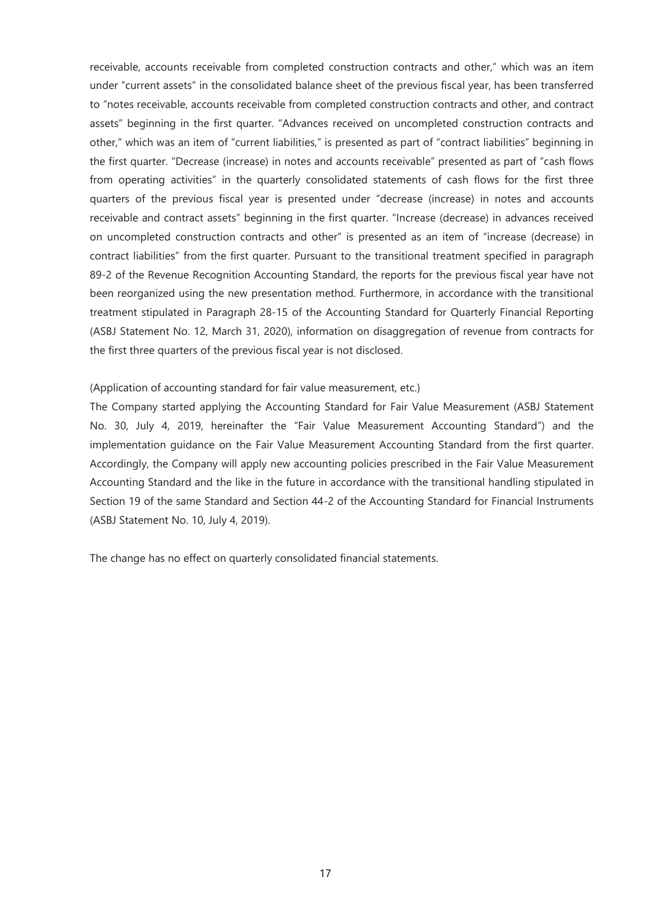receivable, accounts receivable from completed construction contracts and other," which was an item under "current assets" in the consolidated balance sheet of the previous fiscal year, has been transferred to "notes receivable, accounts receivable from completed construction contracts and other, and contract assets" beginning in the first quarter. "Advances received on uncompleted construction contracts and other," which was an item of "current liabilities," is presented as part of "contract liabilities" beginning in the first quarter. "Decrease (increase) in notes and accounts receivable" presented as part of "cash flows from operating activities" in the quarterly consolidated statements of cash flows for the first three quarters of the previous fiscal year is presented under "decrease (increase) in notes and accounts receivable and contract assets" beginning in the first quarter. "Increase (decrease) in advances received on uncompleted construction contracts and other" is presented as an item of "increase (decrease) in contract liabilities" from the first quarter. Pursuant to the transitional treatment specified in paragraph 89-2 of the Revenue Recognition Accounting Standard, the reports for the previous fiscal year have not been reorganized using the new presentation method. Furthermore, in accordance with the transitional treatment stipulated in Paragraph 28-15 of the Accounting Standard for Quarterly Financial Reporting (ASBJ Statement No. 12, March 31, 2020), information on disaggregation of revenue from contracts for the first three quarters of the previous fiscal year is not disclosed.

## (Application of accounting standard for fair value measurement, etc.)

The Company started applying the Accounting Standard for Fair Value Measurement (ASBJ Statement No. 30, July 4, 2019, hereinafter the "Fair Value Measurement Accounting Standard") and the implementation guidance on the Fair Value Measurement Accounting Standard from the first quarter. Accordingly, the Company will apply new accounting policies prescribed in the Fair Value Measurement Accounting Standard and the like in the future in accordance with the transitional handling stipulated in Section 19 of the same Standard and Section 44-2 of the Accounting Standard for Financial Instruments (ASBJ Statement No. 10, July 4, 2019).

The change has no effect on quarterly consolidated financial statements.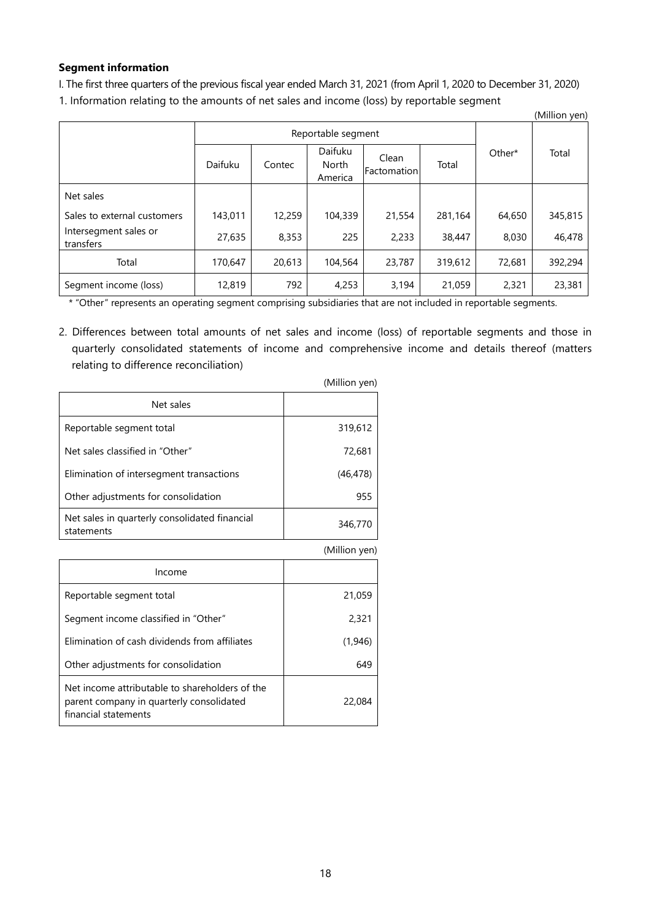## **Segment information**

I. The first three quarters of the previous fiscal year ended March 31, 2021 (from April 1, 2020 to December 31, 2020) 1. Information relating to the amounts of net sales and income (loss) by reportable segment

|                                    |         |                    |                             |                             |         |        | (Million yen) |
|------------------------------------|---------|--------------------|-----------------------------|-----------------------------|---------|--------|---------------|
|                                    |         | Reportable segment |                             |                             |         |        |               |
|                                    | Daifuku | Contec             | Daifuku<br>North<br>America | Clean<br><b>Factomation</b> | Total   | Other* | Total         |
| Net sales                          |         |                    |                             |                             |         |        |               |
| Sales to external customers        | 143,011 | 12,259             | 104,339                     | 21,554                      | 281.164 | 64.650 | 345,815       |
| Intersegment sales or<br>transfers | 27,635  | 8,353              | 225                         | 2,233                       | 38,447  | 8.030  | 46,478        |
| Total                              | 170,647 | 20,613             | 104,564                     | 23,787                      | 319,612 | 72,681 | 392,294       |
| Segment income (loss)              | 12,819  | 792                | 4,253                       | 3,194                       | 21,059  | 2,321  | 23,381        |

\* "Other" represents an operating segment comprising subsidiaries that are not included in reportable segments.

2. Differences between total amounts of net sales and income (loss) of reportable segments and those in quarterly consolidated statements of income and comprehensive income and details thereof (matters relating to difference reconciliation)

|                                                                                                                    | (Million yen) |
|--------------------------------------------------------------------------------------------------------------------|---------------|
| Net sales                                                                                                          |               |
| Reportable segment total                                                                                           | 319,612       |
| Net sales classified in "Other"                                                                                    | 72,681        |
| Elimination of intersegment transactions                                                                           | (46, 478)     |
| Other adjustments for consolidation                                                                                | 955           |
| Net sales in quarterly consolidated financial<br>statements                                                        | 346,770       |
|                                                                                                                    | (Million yen) |
| Income                                                                                                             |               |
| Reportable segment total                                                                                           | 21,059        |
| Segment income classified in "Other"                                                                               | 2,321         |
| Elimination of cash dividends from affiliates                                                                      | (1,946)       |
| Other adjustments for consolidation                                                                                | 649           |
| Net income attributable to shareholders of the<br>parent company in quarterly consolidated<br>financial statements | 22,084        |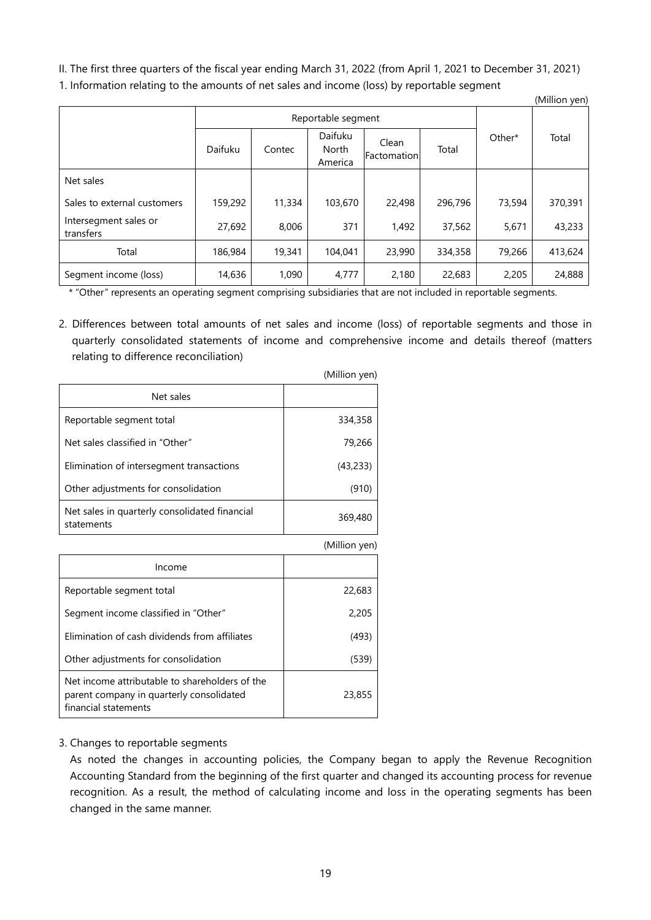II. The first three quarters of the fiscal year ending March 31, 2022 (from April 1, 2021 to December 31, 2021) 1. Information relating to the amounts of net sales and income (loss) by reportable segment  $(Million you)$ 

|                                    |         |                    |                             |                      |         |        | (ivillilon yen) |
|------------------------------------|---------|--------------------|-----------------------------|----------------------|---------|--------|-----------------|
|                                    |         | Reportable segment |                             |                      |         |        |                 |
|                                    | Daifuku | Contec             | Daifuku<br>North<br>America | Clean<br>Factomation | Total   | Other* | Total           |
| Net sales                          |         |                    |                             |                      |         |        |                 |
| Sales to external customers        | 159,292 | 11,334             | 103,670                     | 22,498               | 296.796 | 73,594 | 370,391         |
| Intersegment sales or<br>transfers | 27,692  | 8,006              | 371                         | 1,492                | 37,562  | 5,671  | 43,233          |
| Total                              | 186,984 | 19,341             | 104,041                     | 23,990               | 334,358 | 79,266 | 413,624         |
| Segment income (loss)              | 14,636  | 1,090              | 4,777                       | 2,180                | 22,683  | 2,205  | 24,888          |

\* "Other" represents an operating segment comprising subsidiaries that are not included in reportable segments.

2. Differences between total amounts of net sales and income (loss) of reportable segments and those in quarterly consolidated statements of income and comprehensive income and details thereof (matters relating to difference reconciliation)

 $(Million you$ 

|                                                                                                                    | (TVIIIIIUIT YEIT) |
|--------------------------------------------------------------------------------------------------------------------|-------------------|
| Net sales                                                                                                          |                   |
| Reportable segment total                                                                                           | 334,358           |
| Net sales classified in "Other"                                                                                    | 79,266            |
| Elimination of intersegment transactions                                                                           | (43, 233)         |
| Other adjustments for consolidation                                                                                | (910)             |
| Net sales in quarterly consolidated financial<br>statements                                                        | 369,480           |
|                                                                                                                    | (Million yen)     |
| Income                                                                                                             |                   |
| Reportable segment total                                                                                           | 22,683            |
| Segment income classified in "Other"                                                                               | 2,205             |
| Elimination of cash dividends from affiliates                                                                      | (493)             |
| Other adjustments for consolidation                                                                                | (539)             |
| Net income attributable to shareholders of the<br>parent company in quarterly consolidated<br>financial statements | 23,855            |

# 3. Changes to reportable segments

As noted the changes in accounting policies, the Company began to apply the Revenue Recognition Accounting Standard from the beginning of the first quarter and changed its accounting process for revenue recognition. As a result, the method of calculating income and loss in the operating segments has been changed in the same manner.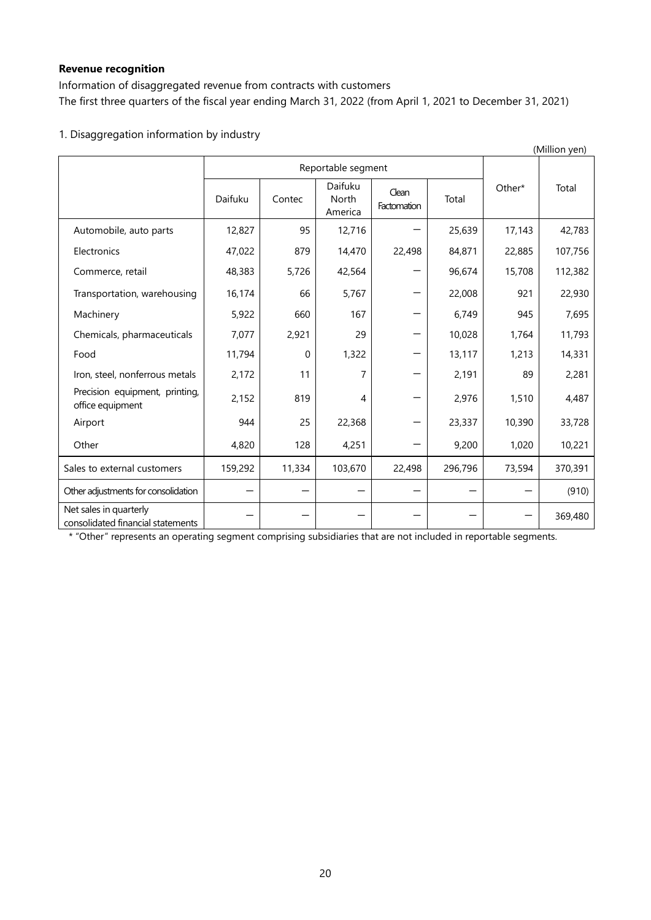# **Revenue recognition**

Information of disaggregated revenue from contracts with customers The first three quarters of the fiscal year ending March 31, 2022 (from April 1, 2021 to December 31, 2021)

# 1. Disaggregation information by industry

|                                                             |         |                    |                                    |                      |         |        | (Million yen) |
|-------------------------------------------------------------|---------|--------------------|------------------------------------|----------------------|---------|--------|---------------|
|                                                             |         | Reportable segment |                                    |                      |         |        |               |
|                                                             | Daifuku | Contec             | Daifuku<br><b>North</b><br>America | Clean<br>Factomation | Total   | Other* | Total         |
| Automobile, auto parts                                      | 12,827  | 95                 | 12,716                             |                      | 25,639  | 17,143 | 42,783        |
| Electronics                                                 | 47,022  | 879                | 14,470                             | 22,498               | 84,871  | 22,885 | 107,756       |
| Commerce, retail                                            | 48,383  | 5,726              | 42,564                             |                      | 96,674  | 15,708 | 112,382       |
| Transportation, warehousing                                 | 16,174  | 66                 | 5,767                              |                      | 22,008  | 921    | 22,930        |
| Machinery                                                   | 5,922   | 660                | 167                                |                      | 6,749   | 945    | 7,695         |
| Chemicals, pharmaceuticals                                  | 7,077   | 2,921              | 29                                 |                      | 10,028  | 1,764  | 11,793        |
| Food                                                        | 11,794  | $\Omega$           | 1,322                              |                      | 13,117  | 1,213  | 14,331        |
| Iron, steel, nonferrous metals                              | 2,172   | 11                 | 7                                  |                      | 2,191   | 89     | 2,281         |
| Precision equipment, printing,<br>office equipment          | 2,152   | 819                | 4                                  |                      | 2,976   | 1,510  | 4,487         |
| Airport                                                     | 944     | 25                 | 22,368                             |                      | 23,337  | 10,390 | 33,728        |
| Other                                                       | 4,820   | 128                | 4,251                              |                      | 9,200   | 1,020  | 10,221        |
| Sales to external customers                                 | 159,292 | 11,334             | 103,670                            | 22,498               | 296,796 | 73,594 | 370,391       |
| Other adjustments for consolidation                         |         |                    |                                    |                      |         |        | (910)         |
| Net sales in quarterly<br>consolidated financial statements |         |                    |                                    |                      |         |        | 369,480       |

\* "Other" represents an operating segment comprising subsidiaries that are not included in reportable segments.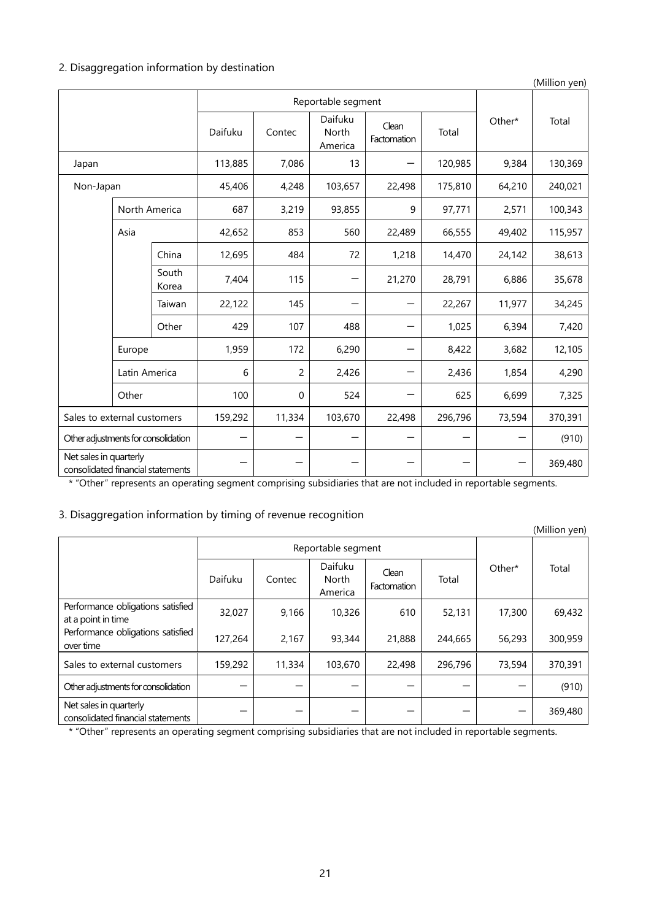# 2. Disaggregation information by destination

|                                                             |               |                |         |                    |                             |                      |         |        | (Million yen) |
|-------------------------------------------------------------|---------------|----------------|---------|--------------------|-----------------------------|----------------------|---------|--------|---------------|
|                                                             |               |                |         | Reportable segment |                             |                      |         |        |               |
|                                                             |               |                | Daifuku | Contec             | Daifuku<br>North<br>America | Clean<br>Factomation | Total   | Other* | Total         |
| Japan                                                       |               |                | 113,885 | 7,086              | 13                          |                      | 120,985 | 9,384  | 130,369       |
| Non-Japan                                                   |               |                | 45,406  | 4,248              | 103,657                     | 22,498               | 175,810 | 64,210 | 240,021       |
|                                                             | North America |                | 687     | 3,219              | 93,855                      | 9                    | 97,771  | 2,571  | 100,343       |
|                                                             | Asia          |                | 42,652  | 853                | 560                         | 22,489               | 66,555  | 49,402 | 115,957       |
|                                                             |               | China          | 12,695  | 484                | 72                          | 1,218                | 14,470  | 24,142 | 38,613        |
|                                                             |               | South<br>Korea | 7,404   | 115                |                             | 21,270               | 28,791  | 6,886  | 35,678        |
|                                                             |               | Taiwan         | 22,122  | 145                |                             |                      | 22,267  | 11,977 | 34,245        |
|                                                             |               | Other          | 429     | 107                | 488                         |                      | 1,025   | 6,394  | 7,420         |
|                                                             | Europe        |                | 1,959   | 172                | 6,290                       |                      | 8,422   | 3,682  | 12,105        |
|                                                             | Latin America |                | 6       | $\overline{c}$     | 2,426                       |                      | 2,436   | 1,854  | 4,290         |
|                                                             | Other         |                | 100     | 0                  | 524                         |                      | 625     | 6,699  | 7,325         |
| Sales to external customers                                 |               |                | 159,292 | 11,334             | 103,670                     | 22,498               | 296,796 | 73,594 | 370,391       |
| Other adjustments for consolidation                         |               |                |         |                    |                             |                      |         |        | (910)         |
| Net sales in quarterly<br>consolidated financial statements |               |                |         |                    |                             |                      |         |        | 369,480       |

\* "Other" represents an operating segment comprising subsidiaries that are not included in reportable segments.

# 3. Disaggregation information by timing of revenue recognition

|                                                             |         |        |                                    |                      |         |        | (Million yen) |
|-------------------------------------------------------------|---------|--------|------------------------------------|----------------------|---------|--------|---------------|
| Reportable segment                                          |         |        |                                    |                      |         |        |               |
|                                                             | Daifuku | Contec | Daifuku<br><b>North</b><br>America | Clean<br>Factomation | Total   | Other* | Total         |
| Performance obligations satisfied<br>at a point in time     | 32,027  | 9,166  | 10,326                             | 610                  | 52,131  | 17,300 | 69,432        |
| Performance obligations satisfied<br>over time              | 127,264 | 2,167  | 93,344                             | 21,888               | 244,665 | 56,293 | 300,959       |
| Sales to external customers                                 | 159,292 | 11,334 | 103,670                            | 22,498               | 296,796 | 73,594 | 370,391       |
| Other adjustments for consolidation                         |         |        |                                    |                      |         |        | (910)         |
| Net sales in quarterly<br>consolidated financial statements |         |        |                                    |                      |         |        | 369,480       |

\* "Other" represents an operating segment comprising subsidiaries that are not included in reportable segments.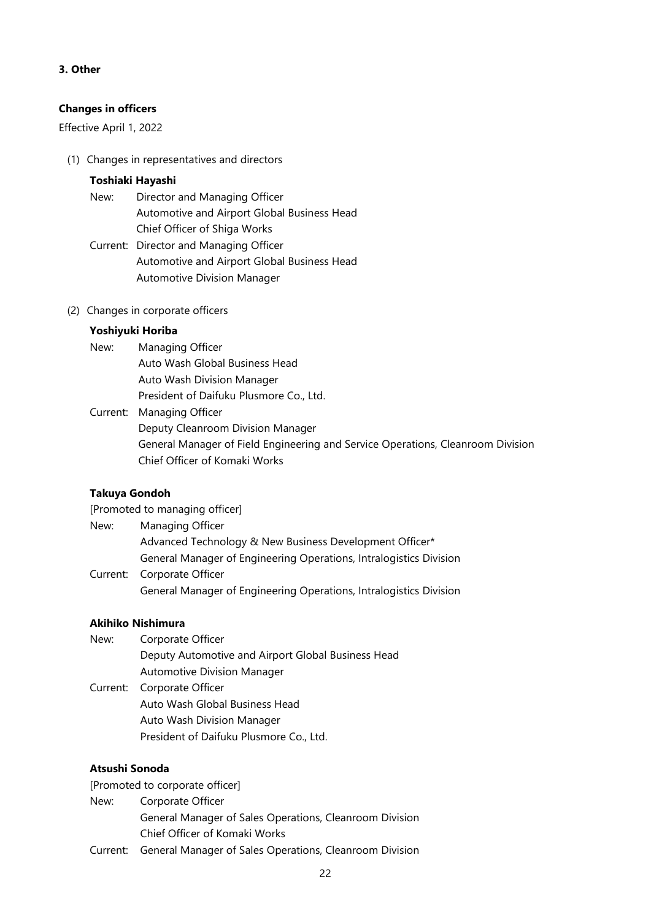## **3. Other**

## **Changes in officers**

Effective April 1, 2022

(1) Changes in representatives and directors

## **Toshiaki Hayashi**

- New: Director and Managing Officer Automotive and Airport Global Business Head Chief Officer of Shiga Works
- Current: Director and Managing Officer Automotive and Airport Global Business Head Automotive Division Manager
- (2) Changes in corporate officers

## **Yoshiyuki Horiba**

- New: Managing Officer Auto Wash Global Business Head Auto Wash Division Manager President of Daifuku Plusmore Co., Ltd.
- Current: Managing Officer Deputy Cleanroom Division Manager General Manager of Field Engineering and Service Operations, Cleanroom Division Chief Officer of Komaki Works

# **Takuya Gondoh**

[Promoted to managing officer]

- New: Managing Officer Advanced Technology & New Business Development Officer\* General Manager of Engineering Operations, Intralogistics Division
- Current: Corporate Officer General Manager of Engineering Operations, Intralogistics Division

### **Akihiko Nishimura**

New: Corporate Officer Deputy Automotive and Airport Global Business Head Automotive Division Manager Current: Corporate Officer Auto Wash Global Business Head Auto Wash Division Manager President of Daifuku Plusmore Co., Ltd.

# **Atsushi Sonoda**

[Promoted to corporate officer]

- New: Corporate Officer
	- General Manager of Sales Operations, Cleanroom Division Chief Officer of Komaki Works
- Current: General Manager of Sales Operations, Cleanroom Division